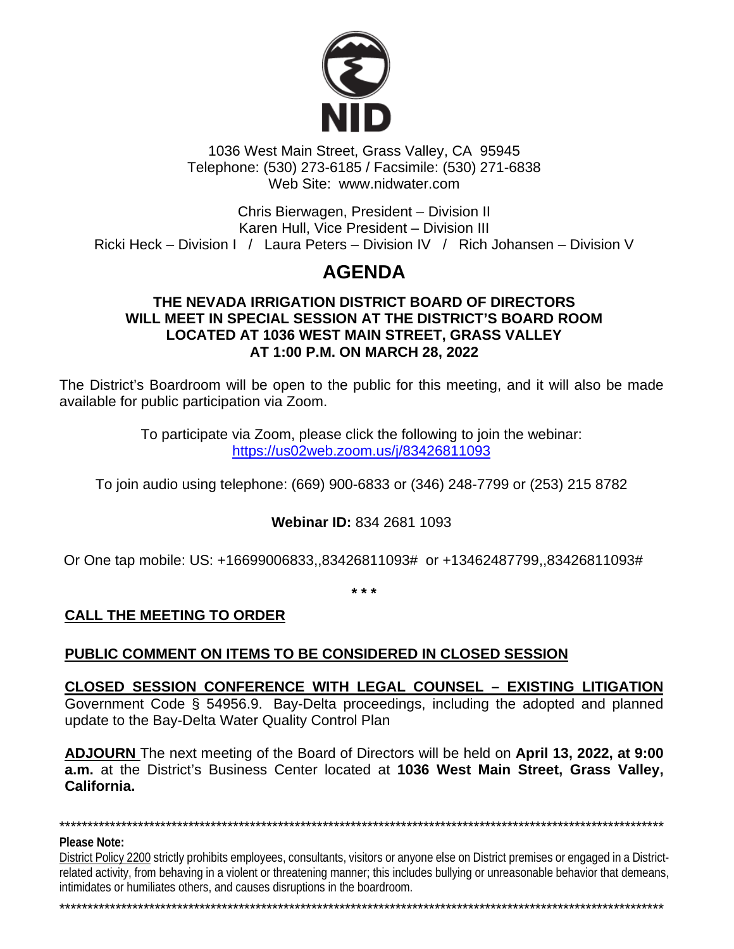

1036 West Main Street, Grass Valley, CA 95945 Telephone: (530) 273-6185 / Facsimile: (530) 271-6838 Web Site: www.nidwater.com

Chris Bierwagen, President – Division II Karen Hull, Vice President – Division III Ricki Heck – Division I / Laura Peters – Division IV / Rich Johansen – Division V

# **AGENDA**

#### **THE NEVADA IRRIGATION DISTRICT BOARD OF DIRECTORS WILL MEET IN SPECIAL SESSION AT THE DISTRICT'S BOARD ROOM LOCATED AT 1036 WEST MAIN STREET, GRASS VALLEY AT 1:00 P.M. ON MARCH 28, 2022**

The District's Boardroom will be open to the public for this meeting, and it will also be made available for public participation via Zoom.

> To participate via Zoom, please click the following to join the webinar: <https://us02web.zoom.us/j/83426811093>

To join audio using telephone: (669) 900-6833 or (346) 248-7799 or (253) 215 8782

**Webinar ID:** 834 2681 1093

Or One tap mobile: US: +16699006833,,83426811093# or +13462487799,,83426811093#

**\* \* \***

## **CALL THE MEETING TO ORDER**

### **PUBLIC COMMENT ON ITEMS TO BE CONSIDERED IN CLOSED SESSION**

#### **CLOSED SESSION CONFERENCE WITH LEGAL COUNSEL – EXISTING LITIGATION** Government Code § 54956.9. Bay-Delta proceedings, including the adopted and planned update to the Bay-Delta Water Quality Control Plan

**ADJOURN** The next meeting of the Board of Directors will be held on **April 13, 2022, at 9:00 a.m.** at the District's Business Center located at **1036 West Main Street, Grass Valley, California.**

**Please Note:** 

District Policy 2200 strictly prohibits employees, consultants, visitors or anyone else on District premises or engaged in a Districtrelated activity, from behaving in a violent or threatening manner; this includes bullying or unreasonable behavior that demeans, intimidates or humiliates others, and causes disruptions in the boardroom.

\*\*\*\*\*\*\*\*\*\*\*\*\*\*\*\*\*\*\*\*\*\*\*\*\*\*\*\*\*\*\*\*\*\*\*\*\*\*\*\*\*\*\*\*\*\*\*\*\*\*\*\*\*\*\*\*\*\*\*\*\*\*\*\*\*\*\*\*\*\*\*\*\*\*\*\*\*\*\*\*\*\*\*\*\*\*\*\*\*\*\*\*\*\*\*\*\*\*\*\*\*\*\*\*\*\*\*\*

\*\*\*\*\*\*\*\*\*\*\*\*\*\*\*\*\*\*\*\*\*\*\*\*\*\*\*\*\*\*\*\*\*\*\*\*\*\*\*\*\*\*\*\*\*\*\*\*\*\*\*\*\*\*\*\*\*\*\*\*\*\*\*\*\*\*\*\*\*\*\*\*\*\*\*\*\*\*\*\*\*\*\*\*\*\*\*\*\*\*\*\*\*\*\*\*\*\*\*\*\*\*\*\*\*\*\*\*